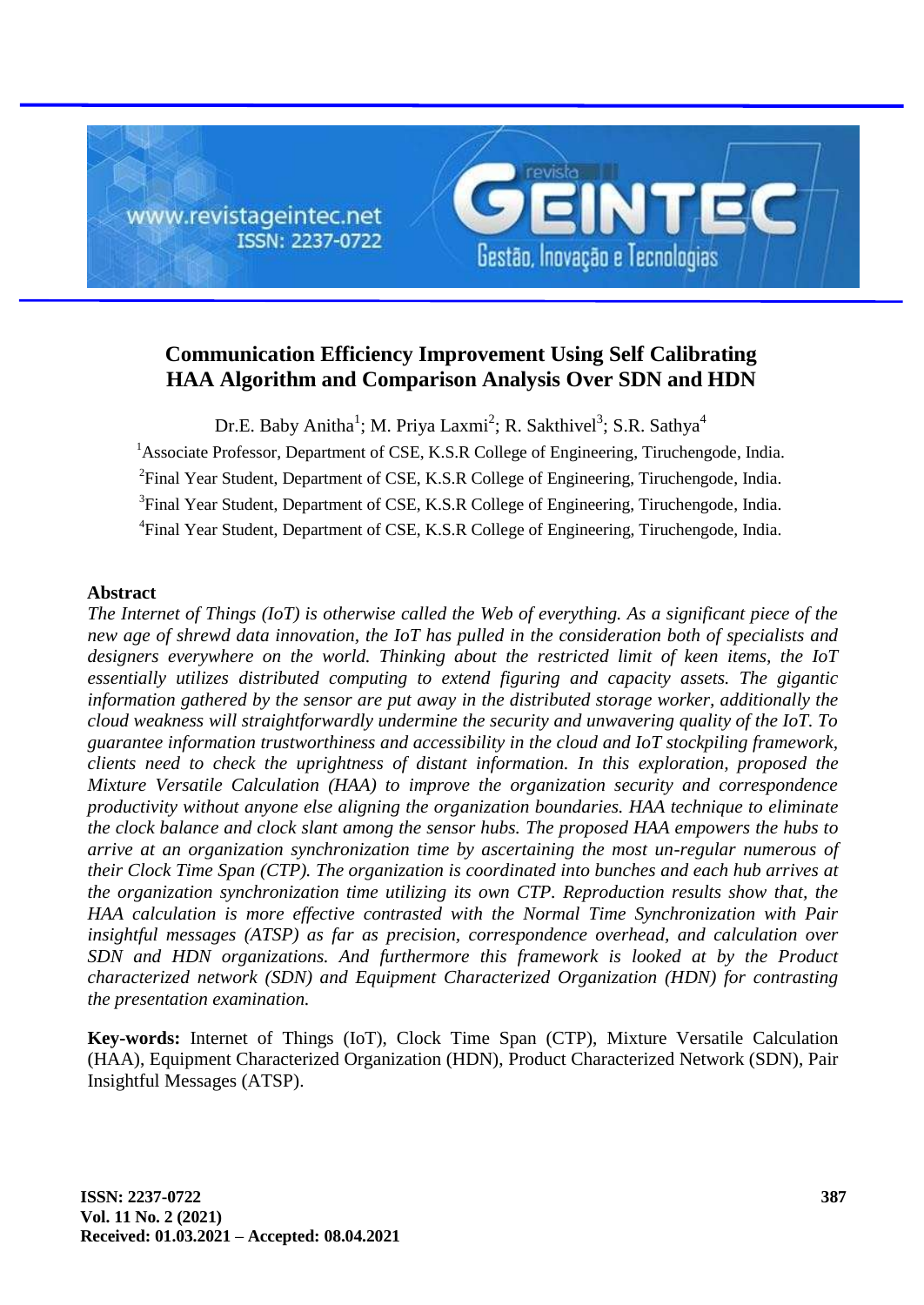

# **Communication Efficiency Improvement Using Self Calibrating HAA Algorithm and Comparison Analysis Over SDN and HDN**

Dr.E. Baby Anitha<sup>1</sup>; M. Priya Laxmi<sup>2</sup>; R. Sakthivel<sup>3</sup>; S.R. Sathya<sup>4</sup> <sup>1</sup>Associate Professor, Department of CSE, K.S.R College of Engineering, Tiruchengode, India. <sup>2</sup>Final Year Student, Department of CSE, K.S.R College of Engineering, Tiruchengode, India. <sup>3</sup>Final Year Student, Department of CSE, K.S.R College of Engineering, Tiruchengode, India. <sup>4</sup>Final Year Student, Department of CSE, K.S.R College of Engineering, Tiruchengode, India.

# **Abstract**

*The Internet of Things (IoT) is otherwise called the Web of everything. As a significant piece of the new age of shrewd data innovation, the IoT has pulled in the consideration both of specialists and designers everywhere on the world. Thinking about the restricted limit of keen items, the IoT essentially utilizes distributed computing to extend figuring and capacity assets. The gigantic information gathered by the sensor are put away in the distributed storage worker, additionally the cloud weakness will straightforwardly undermine the security and unwavering quality of the IoT. To guarantee information trustworthiness and accessibility in the cloud and IoT stockpiling framework, clients need to check the uprightness of distant information. In this exploration, proposed the Mixture Versatile Calculation (HAA) to improve the organization security and correspondence productivity without anyone else aligning the organization boundaries. HAA technique to eliminate the clock balance and clock slant among the sensor hubs. The proposed HAA empowers the hubs to arrive at an organization synchronization time by ascertaining the most un-regular numerous of their Clock Time Span (CTP). The organization is coordinated into bunches and each hub arrives at the organization synchronization time utilizing its own CTP. Reproduction results show that, the HAA calculation is more effective contrasted with the Normal Time Synchronization with Pair insightful messages (ATSP) as far as precision, correspondence overhead, and calculation over SDN and HDN organizations. And furthermore this framework is looked at by the Product characterized network (SDN) and Equipment Characterized Organization (HDN) for contrasting the presentation examination.*

**Key-words:** Internet of Things (IoT), Clock Time Span (CTP), Mixture Versatile Calculation (HAA), Equipment Characterized Organization (HDN), Product Characterized Network (SDN), Pair Insightful Messages (ATSP).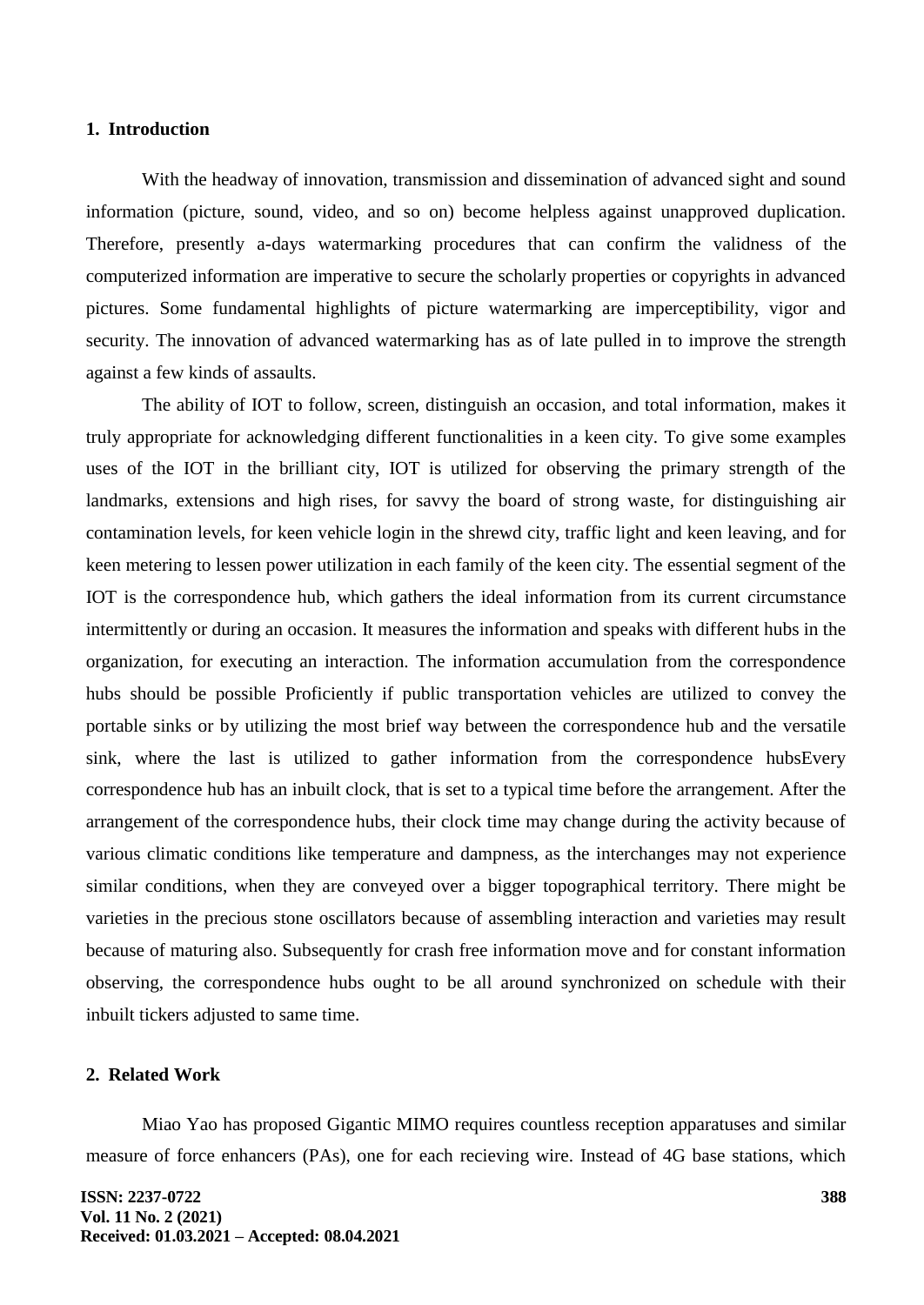### **1. Introduction**

With the headway of innovation, transmission and dissemination of advanced sight and sound information (picture, sound, video, and so on) become helpless against unapproved duplication. Therefore, presently a-days watermarking procedures that can confirm the validness of the computerized information are imperative to secure the scholarly properties or copyrights in advanced pictures. Some fundamental highlights of picture watermarking are imperceptibility, vigor and security. The innovation of advanced watermarking has as of late pulled in to improve the strength against a few kinds of assaults.

The ability of IOT to follow, screen, distinguish an occasion, and total information, makes it truly appropriate for acknowledging different functionalities in a keen city. To give some examples uses of the IOT in the brilliant city, IOT is utilized for observing the primary strength of the landmarks, extensions and high rises, for savvy the board of strong waste, for distinguishing air contamination levels, for keen vehicle login in the shrewd city, traffic light and keen leaving, and for keen metering to lessen power utilization in each family of the keen city. The essential segment of the IOT is the correspondence hub, which gathers the ideal information from its current circumstance intermittently or during an occasion. It measures the information and speaks with different hubs in the organization, for executing an interaction. The information accumulation from the correspondence hubs should be possible Proficiently if public transportation vehicles are utilized to convey the portable sinks or by utilizing the most brief way between the correspondence hub and the versatile sink, where the last is utilized to gather information from the correspondence hubsEvery correspondence hub has an inbuilt clock, that is set to a typical time before the arrangement. After the arrangement of the correspondence hubs, their clock time may change during the activity because of various climatic conditions like temperature and dampness, as the interchanges may not experience similar conditions, when they are conveyed over a bigger topographical territory. There might be varieties in the precious stone oscillators because of assembling interaction and varieties may result because of maturing also. Subsequently for crash free information move and for constant information observing, the correspondence hubs ought to be all around synchronized on schedule with their inbuilt tickers adjusted to same time.

### **2. Related Work**

Miao Yao has proposed Gigantic MIMO requires countless reception apparatuses and similar measure of force enhancers (PAs), one for each recieving wire. Instead of 4G base stations, which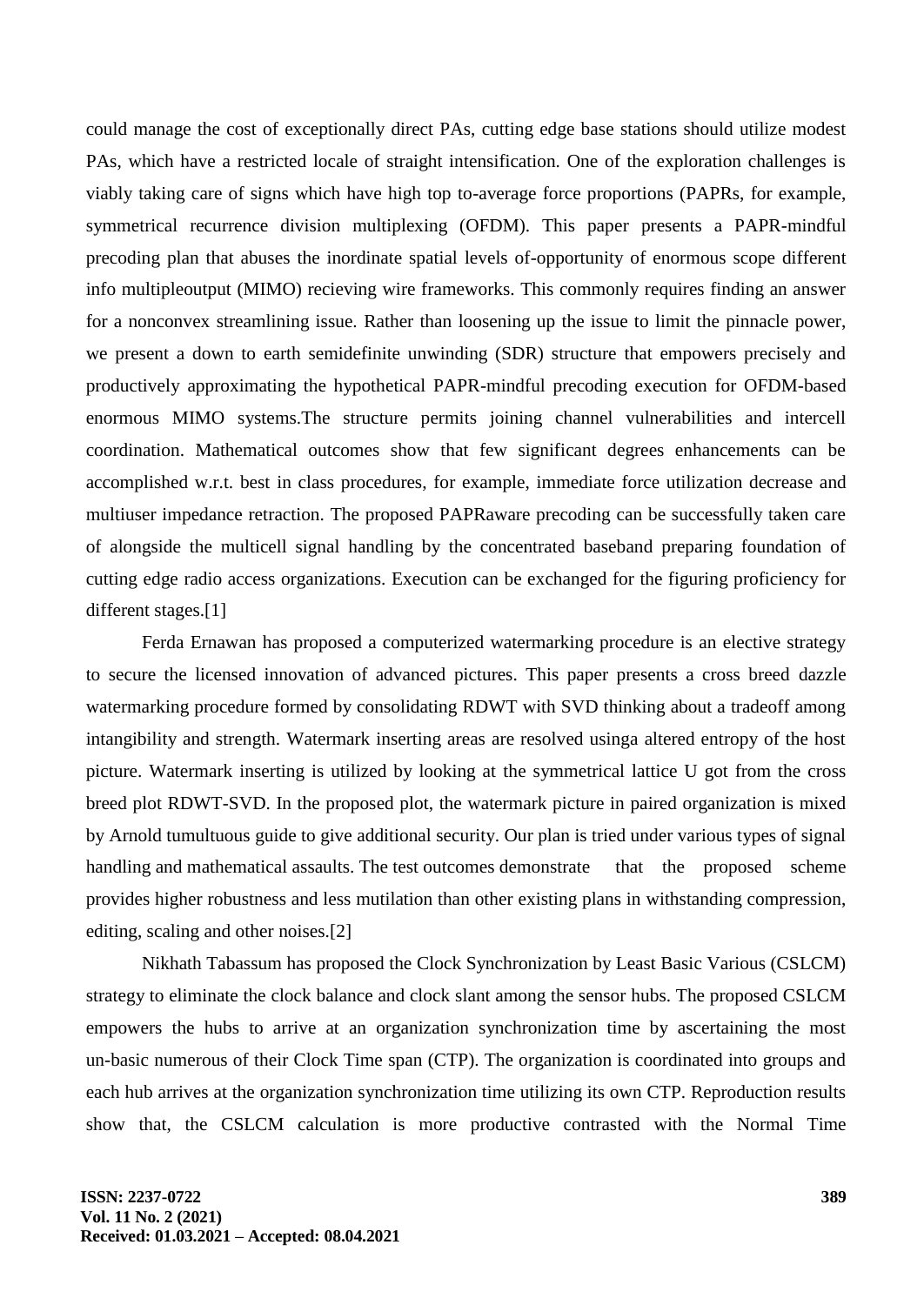could manage the cost of exceptionally direct PAs, cutting edge base stations should utilize modest PAs, which have a restricted locale of straight intensification. One of the exploration challenges is viably taking care of signs which have high top to-average force proportions (PAPRs, for example, symmetrical recurrence division multiplexing (OFDM). This paper presents a PAPR-mindful precoding plan that abuses the inordinate spatial levels of-opportunity of enormous scope different info multipleoutput (MIMO) recieving wire frameworks. This commonly requires finding an answer for a nonconvex streamlining issue. Rather than loosening up the issue to limit the pinnacle power, we present a down to earth semidefinite unwinding (SDR) structure that empowers precisely and productively approximating the hypothetical PAPR-mindful precoding execution for OFDM-based enormous MIMO systems.The structure permits joining channel vulnerabilities and intercell coordination. Mathematical outcomes show that few significant degrees enhancements can be accomplished w.r.t. best in class procedures, for example, immediate force utilization decrease and multiuser impedance retraction. The proposed PAPRaware precoding can be successfully taken care of alongside the multicell signal handling by the concentrated baseband preparing foundation of cutting edge radio access organizations. Execution can be exchanged for the figuring proficiency for different stages.[1]

Ferda Ernawan has proposed a computerized watermarking procedure is an elective strategy to secure the licensed innovation of advanced pictures. This paper presents a cross breed dazzle watermarking procedure formed by consolidating RDWT with SVD thinking about a tradeoff among intangibility and strength. Watermark inserting areas are resolved usinga altered entropy of the host picture. Watermark inserting is utilized by looking at the symmetrical lattice U got from the cross breed plot RDWT-SVD. In the proposed plot, the watermark picture in paired organization is mixed by Arnold tumultuous guide to give additional security. Our plan is tried under various types of signal handling and mathematical assaults. The test outcomes demonstrate that the proposed scheme provides higher robustness and less mutilation than other existing plans in withstanding compression, editing, scaling and other noises.[2]

Nikhath Tabassum has proposed the Clock Synchronization by Least Basic Various (CSLCM) strategy to eliminate the clock balance and clock slant among the sensor hubs. The proposed CSLCM empowers the hubs to arrive at an organization synchronization time by ascertaining the most un-basic numerous of their Clock Time span (CTP). The organization is coordinated into groups and each hub arrives at the organization synchronization time utilizing its own CTP. Reproduction results show that, the CSLCM calculation is more productive contrasted with the Normal Time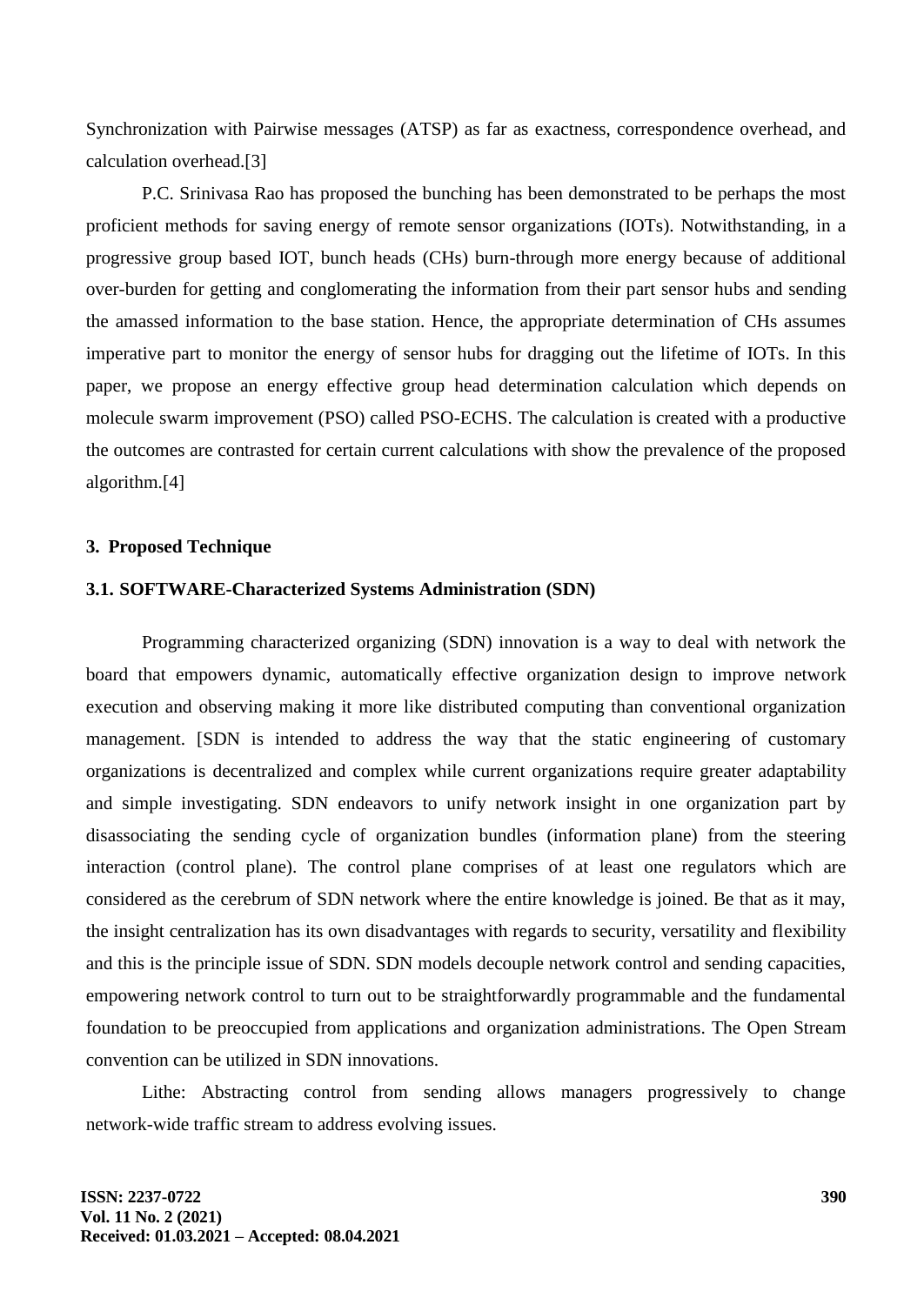Synchronization with Pairwise messages (ATSP) as far as exactness, correspondence overhead, and calculation overhead.[3]

P.C. Srinivasa Rao has proposed the bunching has been demonstrated to be perhaps the most proficient methods for saving energy of remote sensor organizations (IOTs). Notwithstanding, in a progressive group based IOT, bunch heads (CHs) burn-through more energy because of additional over-burden for getting and conglomerating the information from their part sensor hubs and sending the amassed information to the base station. Hence, the appropriate determination of CHs assumes imperative part to monitor the energy of sensor hubs for dragging out the lifetime of IOTs. In this paper, we propose an energy effective group head determination calculation which depends on molecule swarm improvement (PSO) called PSO-ECHS. The calculation is created with a productive the outcomes are contrasted for certain current calculations with show the prevalence of the proposed algorithm.[4]

### **3. Proposed Technique**

# **3.1. SOFTWARE-Characterized Systems Administration (SDN)**

Programming characterized organizing (SDN) innovation is a way to deal with network the board that empowers dynamic, automatically effective organization design to improve network execution and observing making it more like distributed computing than conventional organization management. [SDN is intended to address the way that the static engineering of customary organizations is decentralized and complex while current organizations require greater adaptability and simple investigating. SDN endeavors to unify network insight in one organization part by disassociating the sending cycle of organization bundles (information plane) from the steering interaction (control plane). The control plane comprises of at least one regulators which are considered as the cerebrum of SDN network where the entire knowledge is joined. Be that as it may, the insight centralization has its own disadvantages with regards to security, versatility and flexibility and this is the principle issue of SDN. SDN models decouple network control and sending capacities, empowering network control to turn out to be straightforwardly programmable and the fundamental foundation to be preoccupied from applications and organization administrations. The Open Stream convention can be utilized in SDN innovations.

Lithe: Abstracting control from sending allows managers progressively to change network-wide traffic stream to address evolving issues.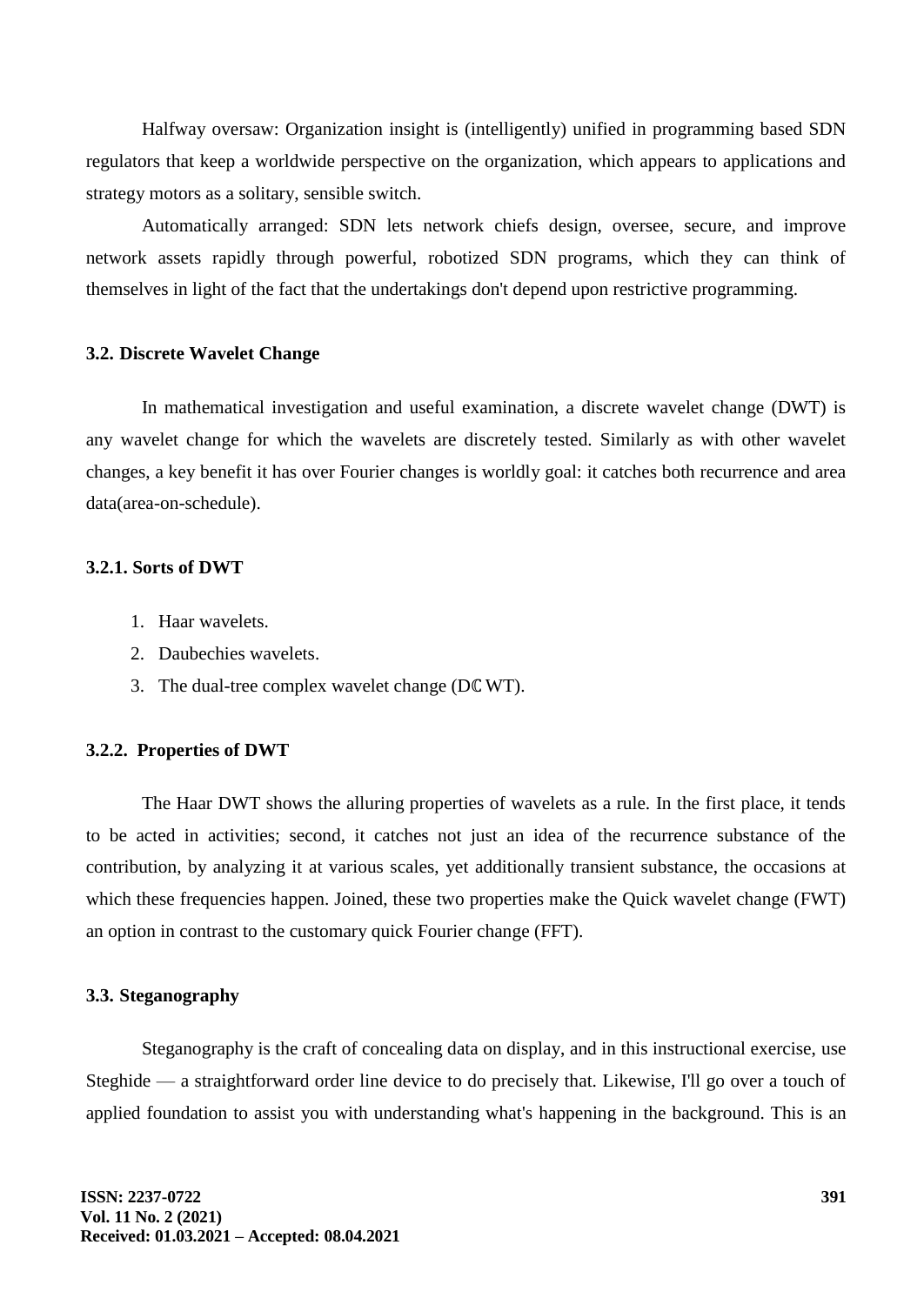Halfway oversaw: Organization insight is (intelligently) unified in programming based SDN regulators that keep a worldwide perspective on the organization, which appears to applications and strategy motors as a solitary, sensible switch.

Automatically arranged: SDN lets network chiefs design, oversee, secure, and improve network assets rapidly through powerful, robotized SDN programs, which they can think of themselves in light of the fact that the undertakings don't depend upon restrictive programming.

### **3.2. Discrete Wavelet Change**

In mathematical investigation and useful examination, a discrete wavelet change (DWT) is any wavelet change for which the wavelets are discretely tested. Similarly as with other wavelet changes, a key benefit it has over Fourier changes is worldly goal: it catches both recurrence and area data(area-on-schedule).

# **3.2.1. Sorts of DWT**

- 1. Haar wavelets.
- 2. Daubechies wavelets.
- 3. The dual-tree complex wavelet change (Dℂ WT).

#### **3.2.2. Properties of DWT**

The Haar DWT shows the alluring properties of wavelets as a rule. In the first place, it tends to be acted in activities; second, it catches not just an idea of the recurrence substance of the contribution, by analyzing it at various scales, yet additionally transient substance, the occasions at which these frequencies happen. Joined, these two properties make the Quick wavelet change (FWT) an option in contrast to the customary quick Fourier change (FFT).

### **3.3. Steganography**

Steganography is the craft of concealing data on display, and in this instructional exercise, use Steghide — a straightforward order line device to do precisely that. Likewise, I'll go over a touch of applied foundation to assist you with understanding what's happening in the background. This is an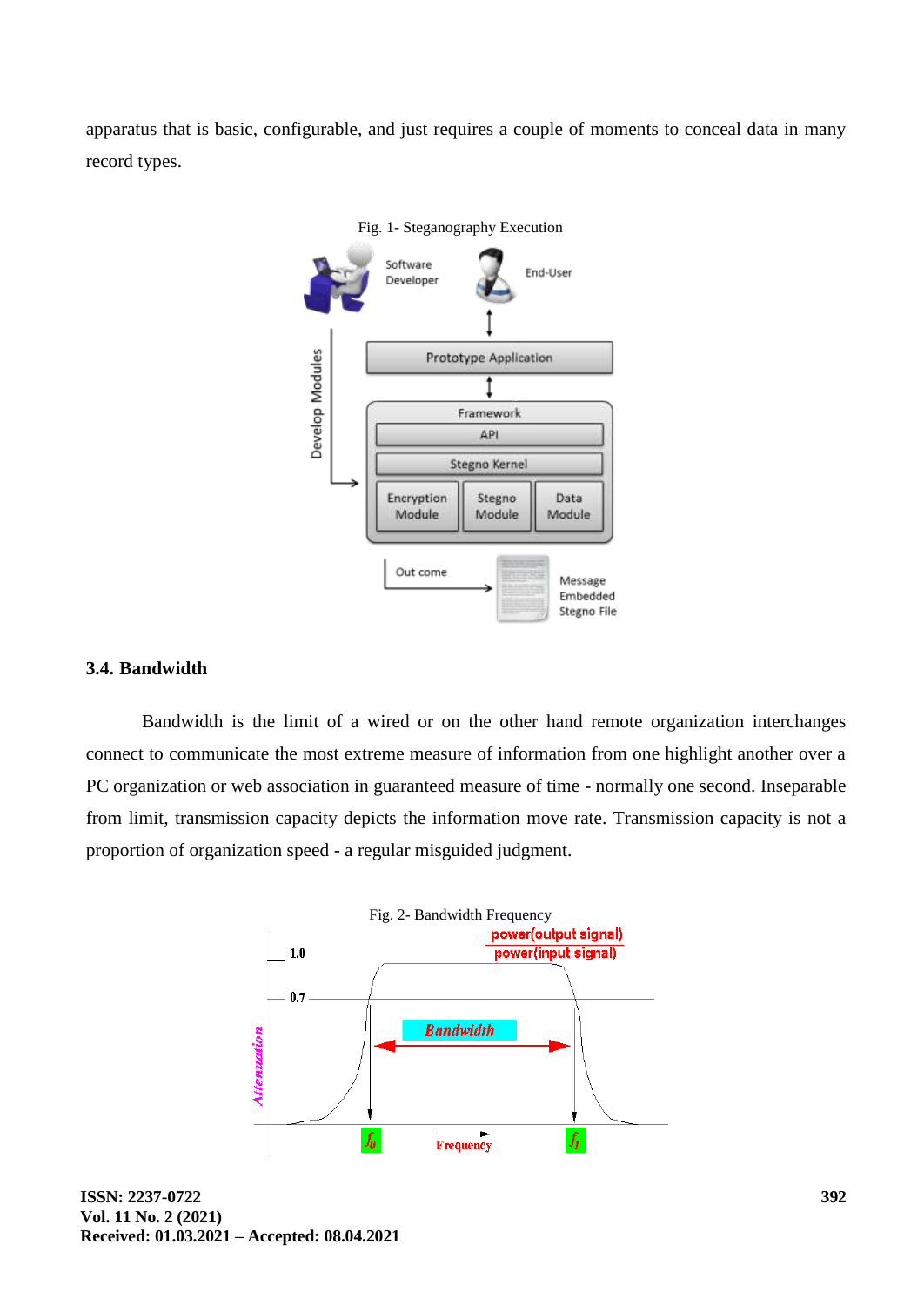apparatus that is basic, configurable, and just requires a couple of moments to conceal data in many record types.



# **3.4. Bandwidth**

Bandwidth is the limit of a wired or on the other hand remote organization interchanges connect to communicate the most extreme measure of information from one highlight another over a PC organization or web association in guaranteed measure of time - normally one second. Inseparable from limit, transmission capacity depicts the information move rate. Transmission capacity is not a proportion of organization speed - a regular misguided judgment.

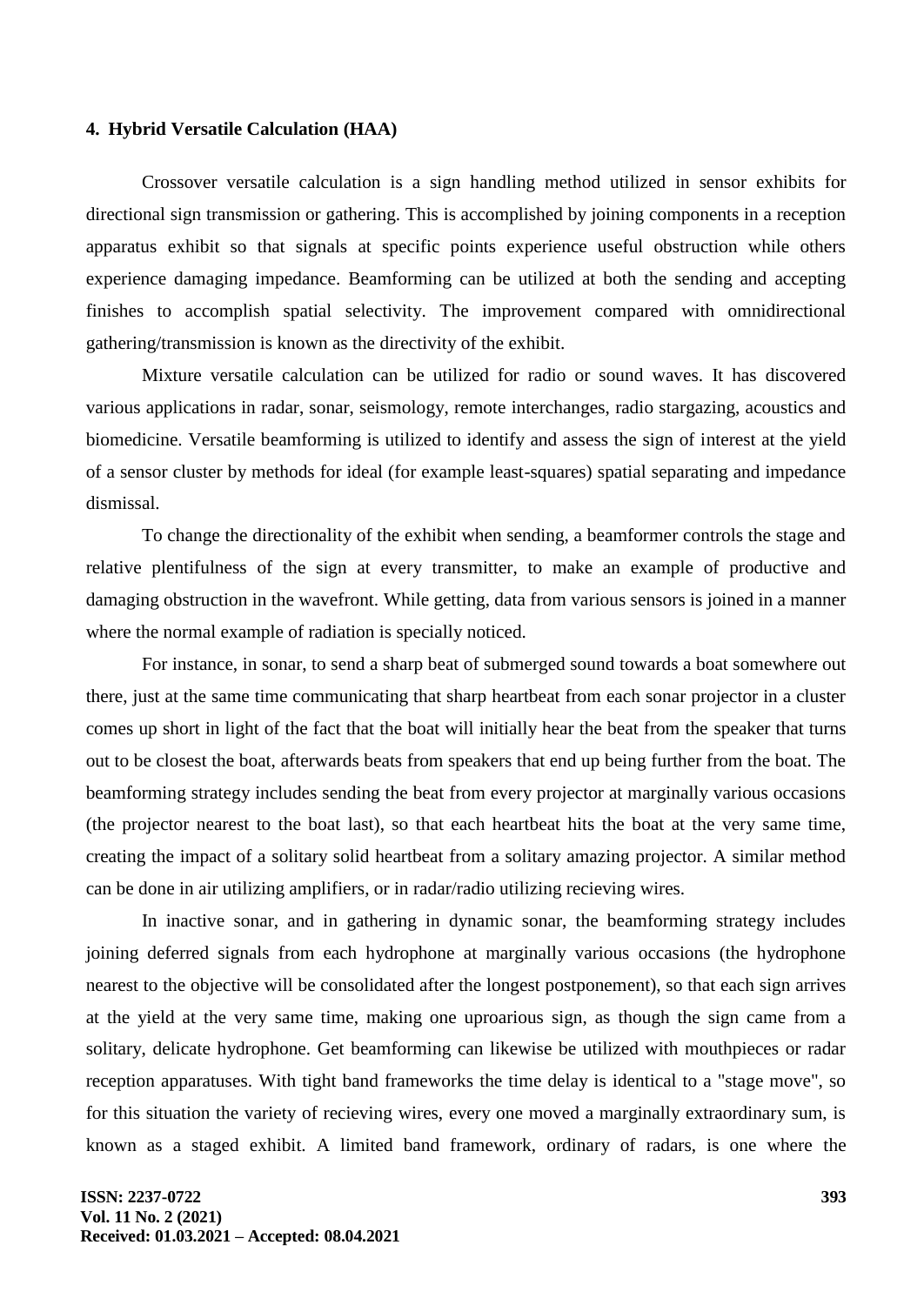### **4. Hybrid Versatile Calculation (HAA)**

Crossover versatile calculation is a sign handling method utilized in sensor exhibits for directional sign transmission or gathering. This is accomplished by joining components in a reception apparatus exhibit so that signals at specific points experience useful obstruction while others experience damaging impedance. Beamforming can be utilized at both the sending and accepting finishes to accomplish spatial selectivity. The improvement compared with omnidirectional gathering/transmission is known as the directivity of the exhibit.

Mixture versatile calculation can be utilized for radio or sound waves. It has discovered various applications in radar, sonar, seismology, remote interchanges, radio stargazing, acoustics and biomedicine. Versatile beamforming is utilized to identify and assess the sign of interest at the yield of a sensor cluster by methods for ideal (for example least-squares) spatial separating and impedance dismissal.

To change the directionality of the exhibit when sending, a beamformer controls the stage and relative plentifulness of the sign at every transmitter, to make an example of productive and damaging obstruction in the wavefront. While getting, data from various sensors is joined in a manner where the normal example of radiation is specially noticed.

For instance, in sonar, to send a sharp beat of submerged sound towards a boat somewhere out there, just at the same time communicating that sharp heartbeat from each sonar projector in a cluster comes up short in light of the fact that the boat will initially hear the beat from the speaker that turns out to be closest the boat, afterwards beats from speakers that end up being further from the boat. The beamforming strategy includes sending the beat from every projector at marginally various occasions (the projector nearest to the boat last), so that each heartbeat hits the boat at the very same time, creating the impact of a solitary solid heartbeat from a solitary amazing projector. A similar method can be done in air utilizing amplifiers, or in radar/radio utilizing recieving wires.

In inactive sonar, and in gathering in dynamic sonar, the beamforming strategy includes joining deferred signals from each hydrophone at marginally various occasions (the hydrophone nearest to the objective will be consolidated after the longest postponement), so that each sign arrives at the yield at the very same time, making one uproarious sign, as though the sign came from a solitary, delicate hydrophone. Get beamforming can likewise be utilized with mouthpieces or radar reception apparatuses. With tight band frameworks the time delay is identical to a "stage move", so for this situation the variety of recieving wires, every one moved a marginally extraordinary sum, is known as a staged exhibit. A limited band framework, ordinary of radars, is one where the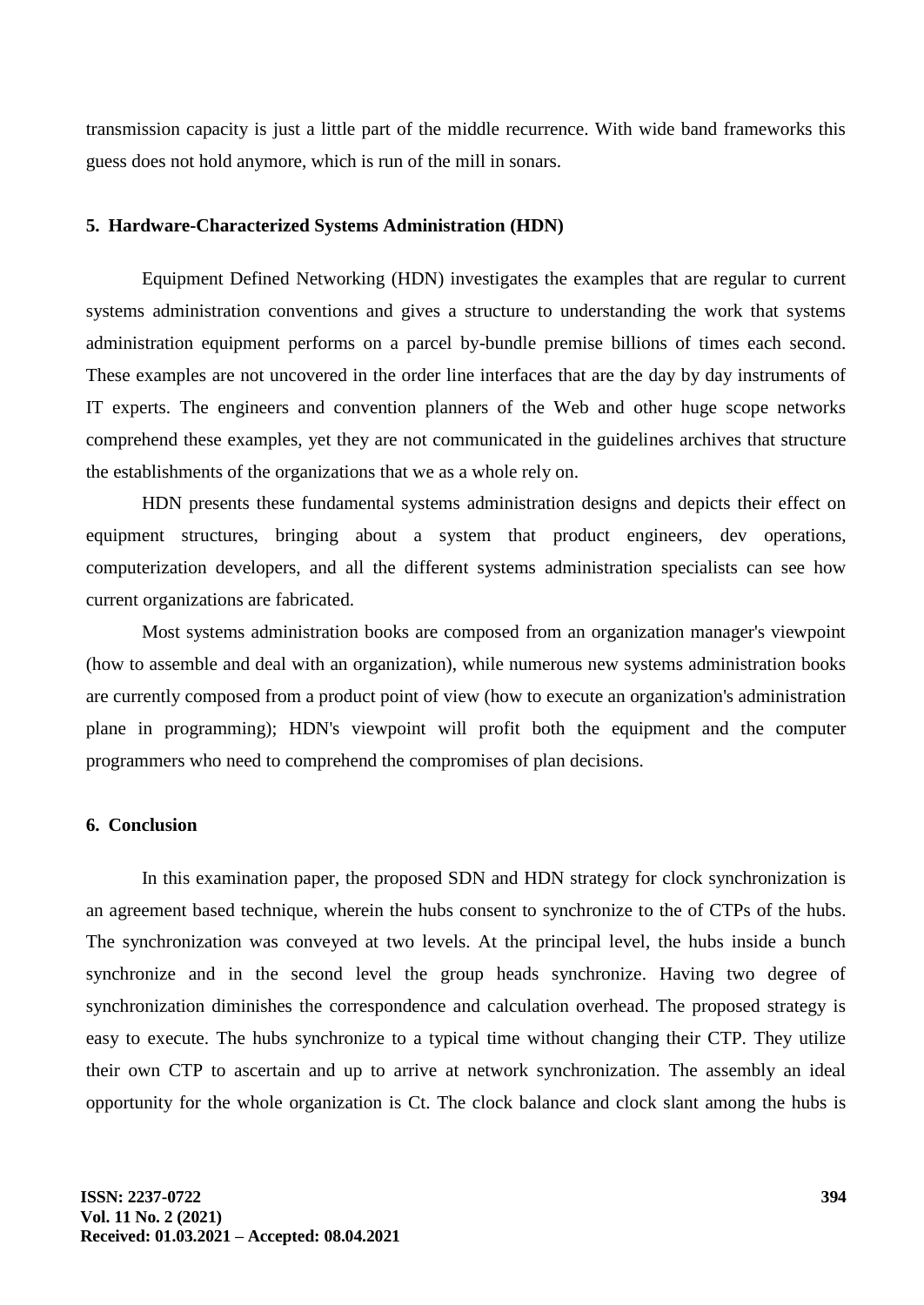transmission capacity is just a little part of the middle recurrence. With wide band frameworks this guess does not hold anymore, which is run of the mill in sonars.

#### **5. Hardware-Characterized Systems Administration (HDN)**

Equipment Defined Networking (HDN) investigates the examples that are regular to current systems administration conventions and gives a structure to understanding the work that systems administration equipment performs on a parcel by-bundle premise billions of times each second. These examples are not uncovered in the order line interfaces that are the day by day instruments of IT experts. The engineers and convention planners of the Web and other huge scope networks comprehend these examples, yet they are not communicated in the guidelines archives that structure the establishments of the organizations that we as a whole rely on.

HDN presents these fundamental systems administration designs and depicts their effect on equipment structures, bringing about a system that product engineers, dev operations, computerization developers, and all the different systems administration specialists can see how current organizations are fabricated.

Most systems administration books are composed from an organization manager's viewpoint (how to assemble and deal with an organization), while numerous new systems administration books are currently composed from a product point of view (how to execute an organization's administration plane in programming); HDN's viewpoint will profit both the equipment and the computer programmers who need to comprehend the compromises of plan decisions.

# **6. Conclusion**

In this examination paper, the proposed SDN and HDN strategy for clock synchronization is an agreement based technique, wherein the hubs consent to synchronize to the of CTPs of the hubs. The synchronization was conveyed at two levels. At the principal level, the hubs inside a bunch synchronize and in the second level the group heads synchronize. Having two degree of synchronization diminishes the correspondence and calculation overhead. The proposed strategy is easy to execute. The hubs synchronize to a typical time without changing their CTP. They utilize their own CTP to ascertain and up to arrive at network synchronization. The assembly an ideal opportunity for the whole organization is Ct. The clock balance and clock slant among the hubs is